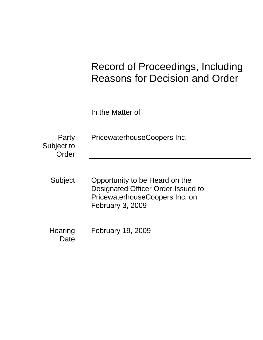# Record of Proceedings, Including Reasons for Decision and Order

In the Matter of

| Party<br>Subject to<br>Order | PricewaterhouseCoopers Inc.                                                                                                |
|------------------------------|----------------------------------------------------------------------------------------------------------------------------|
| Subject                      | Opportunity to be Heard on the<br>Designated Officer Order Issued to<br>PricewaterhouseCoopers Inc. on<br>February 3, 2009 |
| Hearing<br>Date              | <b>February 19, 2009</b>                                                                                                   |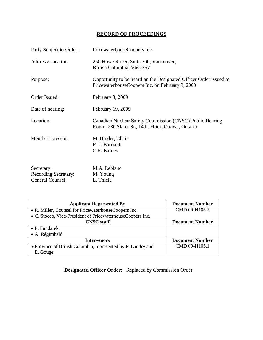# **RECORD OF PROCEEDINGS**

| Party Subject to Order:                                       | PricewaterhouseCoopers Inc.                                                                                          |
|---------------------------------------------------------------|----------------------------------------------------------------------------------------------------------------------|
| Address/Location:                                             | 250 Howe Street, Suite 700, Vancouver,<br>British Columbia, V6C 3S7                                                  |
| Purpose:                                                      | Opportunity to be heard on the Designated Officer Order issued to<br>PricewaterhouseCoopers Inc. on February 3, 2009 |
| Order Issued:                                                 | February 3, 2009                                                                                                     |
| Date of hearing:                                              | February 19, 2009                                                                                                    |
| Location:                                                     | Canadian Nuclear Safety Commission (CNSC) Public Hearing<br>Room, 280 Slater St., 14th. Floor, Ottawa, Ontario       |
| Members present:                                              | M. Binder, Chair<br>R. J. Barriault<br>C.R. Barnes                                                                   |
| Secretary:<br><b>Recording Secretary:</b><br>General Counsel: | M.A. Leblanc<br>M. Young<br>L. Thiele                                                                                |

| <b>Applicant Represented By</b>                              | <b>Document Number</b> |
|--------------------------------------------------------------|------------------------|
| • R. Miller, Counsel for PricewaterhouseCoopers Inc.         | CMD 09-H105.2          |
| • C. Stocco, Vice-President of PricewaterhouseCoopers Inc.   |                        |
| <b>CNSC</b> staff                                            | <b>Document Number</b> |
| $\bullet$ P. Fundarek                                        |                        |
| • A. Régimbald                                               |                        |
| Intervenors                                                  | <b>Document Number</b> |
| • Province of British Columbia, represented by P. Landry and | CMD 09-H105.1          |
| E. Gouge                                                     |                        |

 **Designated Officer Order:** Replaced by Commission Order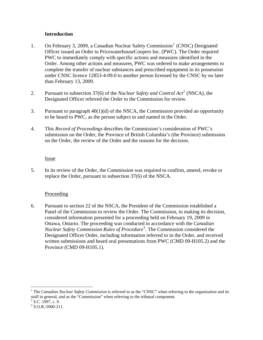#### **Introduction**

- <span id="page-3-0"></span>[1](#page-3-1). On February 3, 2009, a Canadian Nuclear Safety Commission<sup>1</sup> (CNSC) Designated Officer issued an Order to PricewaterhouseCoopers Inc. (PWC). The Order required PWC to immediately comply with specific actions and measures identified in the Order. Among other actions and measures, PWC was ordered to make arrangements to complete the transfer of nuclear substances and prescribed equipment in its possession under CNSC licence 12853-4-09.0 to another person licensed by the CNSC by no later than February 13, 2009.
- 2. Pursuant to subsection 37(6) of the *Nuclear Safety and Control Act[2](#page-3-2)* (NSCA), the Designated Officer referred the Order to the Commission for review.
- 3. Pursuant to paragraph 40(1)(d) of the NSCA, the Commission provided an opportunity to be heard to PWC, as the person subject to and named in the Order.
- 4. This *Record of Proceedings* describes the Commission's consideration of PWC's submission on the Order, the Province of British Columbia's (the Province) submission on the Order, the review of the Order and the reasons for the decision.

#### Issue

5. In its review of the Order, the Commission was required to confirm, amend, revoke or replace the Order, pursuant to subsection 37(6) of the NSCA.

### Proceeding

6. Pursuant to section 22 of the NSCA, the President of the Commission established a Panel of the Commission to review the Order. The Commission, in making its decision, considered information presented for a proceeding held on February 19, 2009 in Ottawa, Ontario. The proceeding was conducted in accordance with the *Canadian Nuclear Safety Commission Rules of Procedure*[3](#page-3-3) . The Commission considered the Designated Officer Order, including information referred to in the Order, and received written submissions and heard oral presentations from PWC (CMD 09-H105.2) and the Province (CMD 09-H105.1).

 $\overline{a}$ 

<span id="page-3-1"></span><sup>&</sup>lt;sup>1</sup> The *Canadian Nuclear Safety Commission* is referred to as the "CNSC" when referring to the organization and its staff in general, and as the "Commission" when referring to the tribunal component.

<span id="page-3-2"></span> $2$  S.C. 1997, c. 9.

<span id="page-3-3"></span> $3$  S.O.R./2000-211.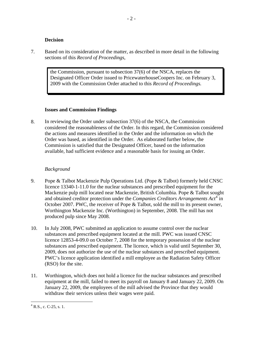#### **Decision**

<span id="page-4-0"></span>7. Based on its consideration of the matter, as described in more detail in the following sections of this *Record of Proceedings*,

> the Commission, pursuant to subsection 37(6) of the NSCA, replaces the Designated Officer Order issued to PricewaterhouseCoopers Inc. on February 3, 2009 with the Commission Order attached to this *Record of Proceedings.*

#### **Issues and Commission Findings**

8. In reviewing the Order under subsection 37(6) of the NSCA, the Commission considered the reasonableness of the Order. In this regard, the Commission considered the actions and measures identified in the Order and the information on which the Order was based, as identified in the Order. As elaborated further below, the Commission is satisfied that the Designated Officer, based on the information available, had sufficient evidence and a reasonable basis for issuing an Order.

#### *Background*

- 9. Pope & Talbot Mackenzie Pulp Operations Ltd. (Pope & Talbot) formerly held CNSC licence 13340-1-11.0 for the nuclear substances and prescribed equipment for the Mackenzie pulp mill located near Mackenzie, British Columbia. Pope & Talbot sought and obtained creditor protection under the *Companies Creditors Arrangements Act*<sup>[4](#page-4-1)</sup> in October 2007. PWC, the receiver of Pope & Talbot, sold the mill to its present owner, Worthington Mackenzie Inc. (Worthington) in September, 2008. The mill has not produced pulp since May 2008.
- 10. In July 2008, PWC submitted an application to assume control over the nuclear substances and prescribed equipment located at the mill. PWC was issued CNSC licence 12853-4-09.0 on October 7, 2008 for the temporary possession of the nuclear substances and prescribed equipment. The licence, which is valid until September 30, 2009, does not authorize the use of the nuclear substances and prescribed equipment. PWC's licence application identified a mill employee as the Radiation Safety Officer (RSO) for the site.
- 11. Worthington, which does not hold a licence for the nuclear substances and prescribed equipment at the mill, failed to meet its payroll on January 8 and January 22, 2009. On January 22, 2009, the employees of the mill advised the Province that they would withdraw their services unless their wages were paid.

<span id="page-4-1"></span><sup>&</sup>lt;u>.</u>  $4$  R.S., c. C-25, s. 1.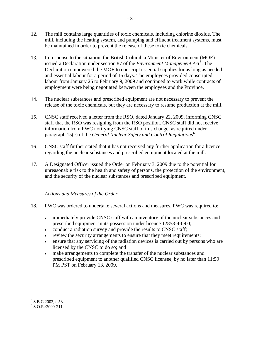- <span id="page-5-0"></span>12. The mill contains large quantities of toxic chemicals, including chlorine dioxide. The mill, including the heating system, and pumping and effluent treatment systems, must be maintained in order to prevent the release of these toxic chemicals.
- 13. In response to the situation, the British Columbia Minister of Environment (MOE) issued a Declaration under section 87 of the *Environment Management Act*<sup>[5](#page-5-1)</sup>. The Declaration empowered the MOE to conscript essential supplies for as long as needed and essential labour for a period of 15 days. The employees provided conscripted labour from January 25 to February 9, 2009 and continued to work while contracts of employment were being negotiated between the employees and the Province.
- 14. The nuclear substances and prescribed equipment are not necessary to prevent the release of the toxic chemicals, but they are necessary to resume production at the mill.
- 15. CNSC staff received a letter from the RSO, dated January 22, 2009, informing CNSC staff that the RSO was resigning from the RSO position. CNSC staff did not receive information from PWC notifying CNSC staff of this change, as required under paragraph 15(c) of the *General Nuclear Safety and Control Regulations*<sup>[6](#page-5-2)</sup>.
- 16. CNSC staff further stated that it has not received any further application for a licence regarding the nuclear substances and prescribed equipment located at the mill.
- 17. A Designated Officer issued the Order on February 3, 2009 due to the potential for unreasonable risk to the health and safety of persons, the protection of the environment, and the security of the nuclear substances and prescribed equipment.

#### *Actions and Measures of the Order*

- 18. PWC was ordered to undertake several actions and measures. PWC was required to:
	- immediately provide CNSC staff with an inventory of the nuclear substances and prescribed equipment in its possession under licence 12853-4-09.0;
	- conduct a radiation survey and provide the results to CNSC staff;
	- review the security arrangements to ensure that they meet requirements;
	- ensure that any servicing of the radiation devices is carried out by persons who are licensed by the CNSC to do so; and
	- make arrangements to complete the transfer of the nuclear substances and prescribed equipment to another qualified CNSC licensee, by no later than 11:59 PM PST on February 13, 2009.

 5 S.B.C 2003, c 53.

<span id="page-5-2"></span><span id="page-5-1"></span> $6$  S.O.R./2000-211.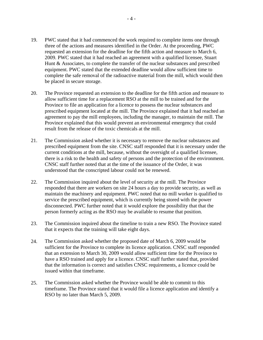- 19. PWC stated that it had commenced the work required to complete items one through three of the actions and measures identified in the Order. At the proceeding, PWC requested an extension for the deadline for the fifth action and measure to March 6, 2009. PWC stated that it had reached an agreement with a qualified licensee, Stuart Hunt & Associates, to complete the transfer of the nuclear substances and prescribed equipment. PWC stated that the extended deadline would allow sufficient time to complete the safe removal of the radioactive material from the mill, which would then be placed in secure storage.
- 20. The Province requested an extension to the deadline for the fifth action and measure to allow sufficient time for a replacement RSO at the mill to be trained and for the Province to file an application for a licence to possess the nuclear substances and prescribed equipment located at the mill. The Province explained that it had reached an agreement to pay the mill employees, including the manager, to maintain the mill. The Province explained that this would prevent an environmental emergency that could result from the release of the toxic chemicals at the mill.
- 21. The Commission asked whether it is necessary to remove the nuclear substances and prescribed equipment from the site. CNSC staff responded that it is necessary under the current conditions at the mill, because, without the oversight of a qualified licensee, there is a risk to the health and safety of persons and the protection of the environment. CNSC staff further noted that at the time of the issuance of the Order, it was understood that the conscripted labour could not be renewed.
- 22. The Commission inquired about the level of security at the mill. The Province responded that there are workers on site 24 hours a day to provide security, as well as maintain the machinery and equipment. PWC noted that no mill worker is qualified to service the prescribed equipment, which is currently being stored with the power disconnected. PWC further noted that it would explore the possibility that that the person formerly acting as the RSO may be available to resume that position.
- 23. The Commission inquired about the timeline to train a new RSO. The Province stated that it expects that the training will take eight days.
- 24. The Commission asked whether the proposed date of March 6, 2009 would be sufficient for the Province to complete its licence application. CNSC staff responded that an extension to March 30, 2009 would allow sufficient time for the Province to have a RSO trained and apply for a licence. CNSC staff further stated that, provided that the information is correct and satisfies CNSC requirements, a licence could be issued within that timeframe.
- 25. The Commission asked whether the Province would be able to commit to this timeframe. The Province stated that it would file a licence application and identify a RSO by no later than March 5, 2009.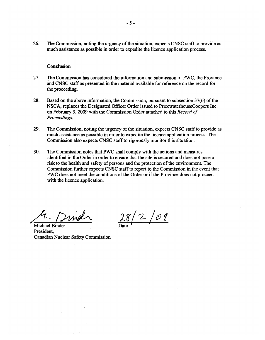<span id="page-7-0"></span>26. The Commission, noting the urgency of the situation, expects CNSC staff to provide as much assistance as possible in order to expedite the licence application process.

#### **Conclusion**

- 27. The Commission has considered the information and submission ofPWC, the Province and CNSC staff as presented in the material available for reference on the record for the proceeding.
- 28. Based on the above information, the Commission, pursuant to subsection 37(6) of the NSCA, replaces the Designated Officer Order issued to PricewaterhouseCoopers Inc. on February 3,2009 with the Commission Order attached to this *Record of Proceedings.*
- 29. The Commission, noting the urgency of the situation, expects CNSC staff to provide as much assistance as possible in order to expedite the licence application process. The Commission also expects CNSC staff to rigorously monitor this situation.
- 30. The Commission notes that PWC shall comply with the actions and measures identified in the Order in order to ensure that the site is secured and does not pose a risk to the health and safety of persons and the protection of the environment. The Commission further expects CNSC staff to report to the Commission in the event that PWC does not meet the conditions of the Order or if the Province does not proceed with the licence application.

4. Dirich

:La /2 /(f) **r**  Date  $\sqrt{ }$ 

President, Canadian Nuclear Safety Commission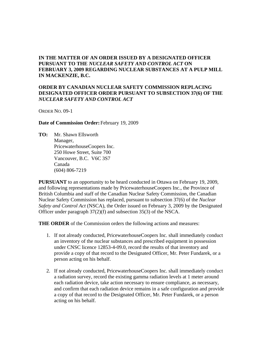## **IN THE MATTER OF AN ORDER ISSUED BY A DESIGNATED OFFICER PURSUANT TO THE** *NUCLEAR SAFETY AND CONTROL ACT* **ON FEBRUARY 3, 2009 REGARDING NUCLEAR SUBSTANCES AT A PULP MILL IN MACKENZIE, B.C.**

#### **ORDER BY CANADIAN NUCLEAR SAFETY COMMISSION REPLACING DESIGNATED OFFICER ORDER PURSUANT TO SUBSECTION 37(6) OF THE**  *NUCLEAR SAFETY AND CONTROL ACT*

ORDER NO. 09-1

#### **Date of Commission Order:** February 19, 2009

**TO:** Mr. Shawn Ellsworth Manager, PricewaterhouseCoopers Inc. 250 Howe Street, Suite 700 Vancouver, B.C. V6C 3S7 Canada (604) 806-7219

**PURSUANT** to an opportunity to be heard conducted in Ottawa on February 19, 2009, and following representations made by PricewaterhouseCoopers Inc., the Province of British Columbia and staff of the Canadian Nuclear Safety Commission, the Canadian Nuclear Safety Commission has replaced, pursuant to subsection 37(6) of the *Nuclear Safety and Control Act* (NSCA), the Order issued on February 3, 2009 by the Designated Officer under paragraph 37(2)(f) and subsection 35(3) of the NSCA.

**THE ORDER** of the Commission orders the following actions and measures:

- 1. If not already conducted, PricewaterhouseCoopers Inc. shall immediately conduct an inventory of the nuclear substances and prescribed equipment in possession under CNSC licence 12853-4-09.0, record the results of that inventory and provide a copy of that record to the Designated Officer, Mr. Peter Fundarek, or a person acting on his behalf.
- 2. If not already conducted, PricewaterhouseCoopers Inc. shall immediately conduct a radiation survey, record the existing gamma radiation levels at 1 meter around each radiation device, take action necessary to ensure compliance, as necessary, and confirm that each radiation device remains in a safe configuration and provide a copy of that record to the Designated Officer, Mr. Peter Fundarek, or a person acting on his behalf.